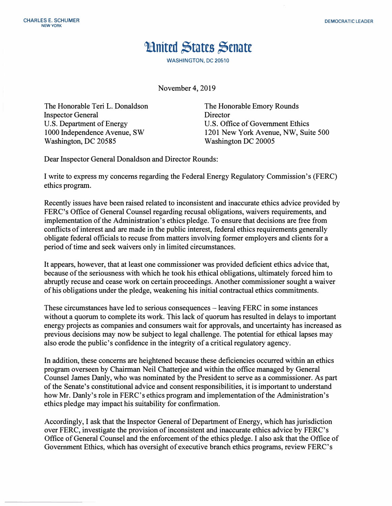## **Huited States Senate**

**WASHINGTON, DC 20510** 

November 4, 2019

The Honorable Teri L. Donaldson Inspector General U.S. Department of Energy 1000 Independence Avenue, SW Washington, DC 20585

The Honorable Emory Rounds **Director** U.S. Office of Government Ethics 1201 New York Avenue, NW, Suite 500 Washington DC 20005

Dear Inspector General Donaldson and Director Rounds:

I write to express my concerns regarding the Federal Energy Regulatory Commission's (FERC) ethics program.

Recently issues have been raised related to inconsistent and inaccurate ethics advice provided by FERC's Office of General Counsel regarding recusal obligations, waivers requirements, and implementation of the Administration's ethics pledge. To ensure that decisions are free from conflicts of interest and are made in the public interest, federal ethics requirements generally obligate federal officials to recuse from matters involving former employers and clients for a period of time and seek waivers only in limited circumstances.

It appears, however, that at least one commissioner was provided deficient ethics advice that, because of the seriousness with which he took his ethical obligations, ultimately forced him to abruptly recuse and cease work on certain proceedings. Another commissioner sought a waiver of his obligations under the pledge, weakening his initial contractual ethics commitments.

These circumstances have led to serious consequences – leaving FERC in some instances without a quorum to complete its work. This lack of quorum has resulted in delays to important energy projects as companies and consumers wait for approvals, and uncertainty has increased as previous decisions may now be subject to legal challenge. The potential for ethical lapses may also erode the public's confidence in the integrity of a critical regulatory agency.

In addition, these concerns are heightened because these deficiencies occurred within an ethics program overseen by Chairman Neil Chatterjee and within the office managed by General Counsel James Danly, who was nominated by the President to serve as a commissioner. As part of the Senate's constitutional advice and consent responsibilities, it is important to understand how Mr. Danly's role in FERC's ethics program and implementation of the Administration's ethics pledge may impact his suitability for confirmation.

Accordingly, I ask that the Inspector General of Department of Energy, which has jurisdiction over FERC, investigate the provision of inconsistent and inaccurate ethics advice by FERC's Office of General Counsel and the enforcement of the ethics pledge. I also ask that the Office of Government Ethics, which has oversight of executive branch ethics programs, review FERC's